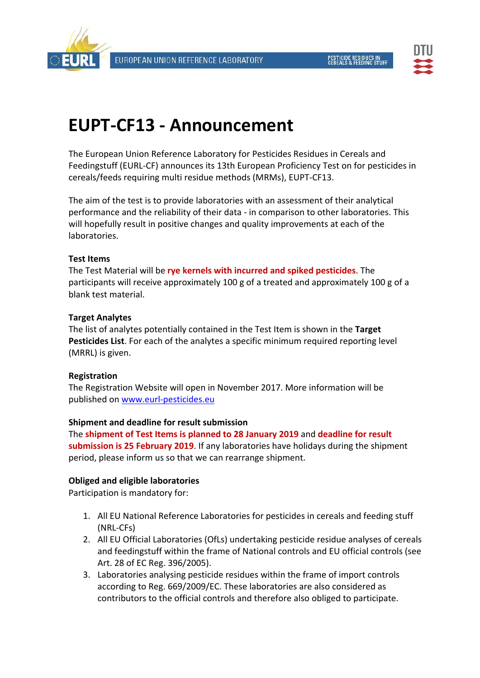



# **EUPT‐CF13 ‐ Announcement**

The European Union Reference Laboratory for Pesticides Residues in Cereals and Feedingstuff (EURL‐CF) announces its 13th European Proficiency Test on for pesticides in cereals/feeds requiring multi residue methods (MRMs), EUPT‐CF13.

The aim of the test is to provide laboratories with an assessment of their analytical performance and the reliability of their data ‐ in comparison to other laboratories. This will hopefully result in positive changes and quality improvements at each of the laboratories.

## **Test Items**

The Test Material will be **rye kernels with incurred and spiked pesticides**. The participants will receive approximately 100 g of a treated and approximately 100 g of a blank test material.

## **Target Analytes**

The list of analytes potentially contained in the Test Item is shown in the **Target Pesticides List**. For each of the analytes a specific minimum required reporting level (MRRL) is given.

#### **Registration**

The Registration Website will open in November 2017. More information will be published on www.eurl‐pesticides.eu

#### **Shipment and deadline for result submission**

The **shipment of Test Items is planned to 28 January 2019** and **deadline for result submission is 25 February 2019**. If any laboratories have holidays during the shipment period, please inform us so that we can rearrange shipment.

## **Obliged and eligible laboratories**

Participation is mandatory for:

- 1. All EU National Reference Laboratories for pesticides in cereals and feeding stuff (NRL‐CFs)
- 2. All EU Official Laboratories (OfLs) undertaking pesticide residue analyses of cereals and feedingstuff within the frame of National controls and EU official controls (see Art. 28 of EC Reg. 396/2005).
- 3. Laboratories analysing pesticide residues within the frame of import controls according to Reg. 669/2009/EC. These laboratories are also considered as contributors to the official controls and therefore also obliged to participate.